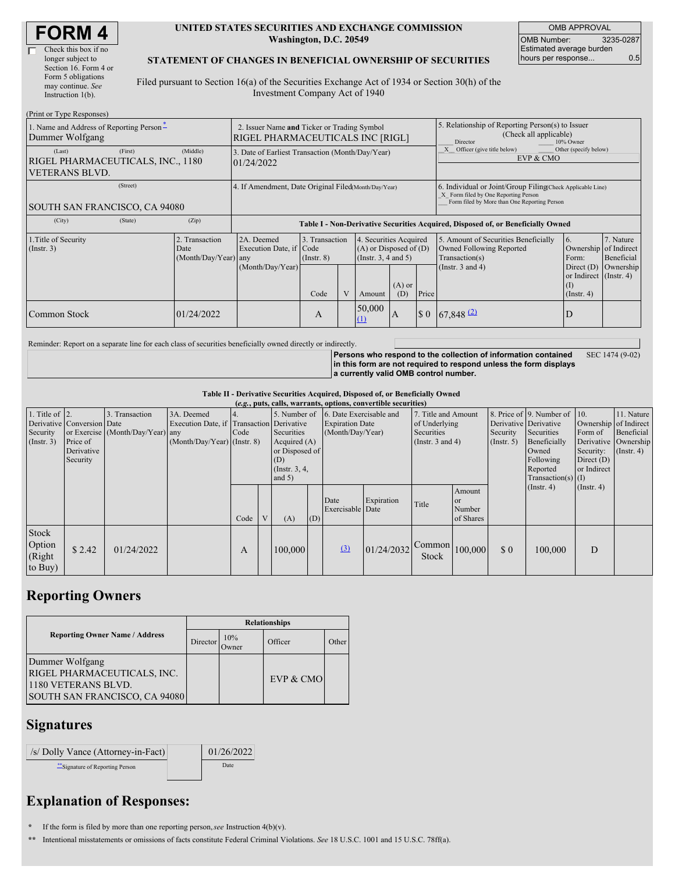| <b>FORM4</b> |  |
|--------------|--|
|--------------|--|

#### **UNITED STATES SECURITIES AND EXCHANGE COMMISSION Washington, D.C. 20549**

OMB APPROVAL OMB Number: 3235-0287 Estimated average burden hours per response... 0.5

#### **STATEMENT OF CHANGES IN BENEFICIAL OWNERSHIP OF SECURITIES**

Filed pursuant to Section 16(a) of the Securities Exchange Act of 1934 or Section 30(h) of the Investment Company Act of 1940

| (Print or Type Responses)                                                       |                                                |                                                                                        |                                   |  |                                                                                          |     |                                                                    |                                                                                                                                                    |                                                                                       |                                      |  |
|---------------------------------------------------------------------------------|------------------------------------------------|----------------------------------------------------------------------------------------|-----------------------------------|--|------------------------------------------------------------------------------------------|-----|--------------------------------------------------------------------|----------------------------------------------------------------------------------------------------------------------------------------------------|---------------------------------------------------------------------------------------|--------------------------------------|--|
| 1. Name and Address of Reporting Person-<br>Dummer Wolfgang                     |                                                | 2. Issuer Name and Ticker or Trading Symbol<br><b>RIGEL PHARMACEUTICALS INC [RIGL]</b> |                                   |  |                                                                                          |     |                                                                    | 5. Relationship of Reporting Person(s) to Issuer<br>(Check all applicable)<br>Director<br>10% Owner                                                |                                                                                       |                                      |  |
| (First)<br>(Last)<br>RIGEL PHARMACEUTICALS, INC., 1180<br><b>VETERANS BLVD.</b> | (Middle)                                       | 3. Date of Earliest Transaction (Month/Day/Year)<br>01/24/2022                         |                                   |  |                                                                                          |     | X Officer (give title below)<br>Other (specify below)<br>EVP & CMO |                                                                                                                                                    |                                                                                       |                                      |  |
| (Street)<br><b>SOUTH SAN FRANCISCO, CA 94080</b>                                |                                                | 4. If Amendment, Date Original Filed(Month/Day/Year)                                   |                                   |  |                                                                                          |     |                                                                    | 6. Individual or Joint/Group Filing(Check Applicable Line)<br>X Form filed by One Reporting Person<br>Form filed by More than One Reporting Person |                                                                                       |                                      |  |
| (State)<br>(City)                                                               | (Zip)                                          | Table I - Non-Derivative Securities Acquired, Disposed of, or Beneficially Owned       |                                   |  |                                                                                          |     |                                                                    |                                                                                                                                                    |                                                                                       |                                      |  |
| 1. Title of Security<br>(Insert. 3)                                             | 2. Transaction<br>Date<br>(Month/Day/Year) any | 2A. Deemed<br>Execution Date, if Code<br>(Month/Day/Year)                              | 3. Transaction<br>$($ Instr. $8)$ |  | 4. Securities Acquired<br>$(A)$ or Disposed of $(D)$<br>(Insert. 3, 4 and 5)<br>$(A)$ or |     |                                                                    | 5. Amount of Securities Beneficially<br>Owned Following Reported<br>Transaction(s)<br>(Instr. $3$ and $4$ )                                        | 6.<br>Ownership of Indirect<br>Form:<br>Direct $(D)$<br>or Indirect (Instr. 4)<br>(I) | 7. Nature<br>Beneficial<br>Ownership |  |
|                                                                                 |                                                |                                                                                        | Code                              |  | Amount                                                                                   | (D) | Price                                                              |                                                                                                                                                    | $($ Instr. 4 $)$                                                                      |                                      |  |
| Common Stock                                                                    | 01/24/2022                                     |                                                                                        | A                                 |  | 50,000<br>$\Omega$                                                                       | 1A  | $\Omega$                                                           | $67,848$ <sup>(2)</sup>                                                                                                                            | D                                                                                     |                                      |  |

Reminder: Report on a separate line for each class of securities beneficially owned directly or indirectly.

**Persons who respond to the collection of information contained in this form are not required to respond unless the form displays a currently valid OMB control number.** SEC 1474 (9-02)

**Table II - Derivative Securities Acquired, Disposed of, or Beneficially Owned**

|                                               | (e.g., puts, calls, warrants, options, convertible securities) |                                                    |                                                                                          |      |   |                                                      |     |                                                                                                                                                                   |            |                                                    |                                                                    |                                                          |                                                        |                                          |                  |
|-----------------------------------------------|----------------------------------------------------------------|----------------------------------------------------|------------------------------------------------------------------------------------------|------|---|------------------------------------------------------|-----|-------------------------------------------------------------------------------------------------------------------------------------------------------------------|------------|----------------------------------------------------|--------------------------------------------------------------------|----------------------------------------------------------|--------------------------------------------------------|------------------------------------------|------------------|
| 1. Title of $ 2$ .<br>Security<br>(Insert. 3) | Derivative Conversion Date<br>Price of                         | 3. Transaction<br>or Exercise (Month/Day/Year) any | 3A. Deemed<br>Execution Date, if Transaction Derivative<br>$(Month/Day/Year)$ (Instr. 8) | Code |   | Securities<br>Acquired (A)                           |     | 5. Number of 6. Date Exercisable and<br>7. Title and Amount<br>of Underlying<br><b>Expiration Date</b><br>(Month/Day/Year)<br>Securities<br>(Instr. $3$ and $4$ ) |            | Derivative Derivative<br>Security<br>$($ Instr. 5) | 8. Price of 9. Number of $\vert$ 10.<br>Securities<br>Beneficially | Ownership of Indirect<br>Form of<br>Derivative Ownership | 11. Nature<br>Beneficial                               |                                          |                  |
|                                               | Derivative<br>Security                                         |                                                    |                                                                                          |      |   | or Disposed of<br>(D)<br>(Instr. $3, 4,$<br>and $5)$ |     |                                                                                                                                                                   |            |                                                    |                                                                    |                                                          | Owned<br>Following<br>Reported<br>$Transaction(s)$ (I) | Security:<br>Direct $(D)$<br>or Indirect | $($ Instr. 4 $)$ |
|                                               |                                                                |                                                    |                                                                                          | Code | V | (A)                                                  | (D) | Date<br>Exercisable Date                                                                                                                                          | Expiration | Title                                              | Amount<br><b>or</b><br>Number<br>of Shares                         |                                                          | $($ Instr. 4 $)$                                       | $($ Instr. 4 $)$                         |                  |
| Stock<br>Option<br>(Right<br>to Buy)          | \$2.42                                                         | 01/24/2022                                         |                                                                                          | А    |   | 100,000                                              |     | (3)                                                                                                                                                               | 01/24/2032 | Common<br>Stock                                    | 100,000                                                            | $\boldsymbol{\mathsf{S}}$ 0                              | 100,000                                                | D                                        |                  |

# **Reporting Owners**

|                                                                                                        | <b>Relationships</b> |              |           |       |  |  |  |  |
|--------------------------------------------------------------------------------------------------------|----------------------|--------------|-----------|-------|--|--|--|--|
| <b>Reporting Owner Name / Address</b>                                                                  | Director             | 10%<br>Owner | Officer   | Other |  |  |  |  |
| Dummer Wolfgang<br>RIGEL PHARMACEUTICALS, INC.<br>1180 VETERANS BLVD.<br>SOUTH SAN FRANCISCO, CA 94080 |                      |              | EVP & CMO |       |  |  |  |  |

### **Signatures**

| /s/ Dolly Vance (Attorney-in-Fact) | 01/26/2022 |
|------------------------------------|------------|
| ** Signature of Reporting Person   | Date       |

## **Explanation of Responses:**

**\*** If the form is filed by more than one reporting person,*see* Instruction 4(b)(v).

**\*\*** Intentional misstatements or omissions of facts constitute Federal Criminal Violations. *See* 18 U.S.C. 1001 and 15 U.S.C. 78ff(a).